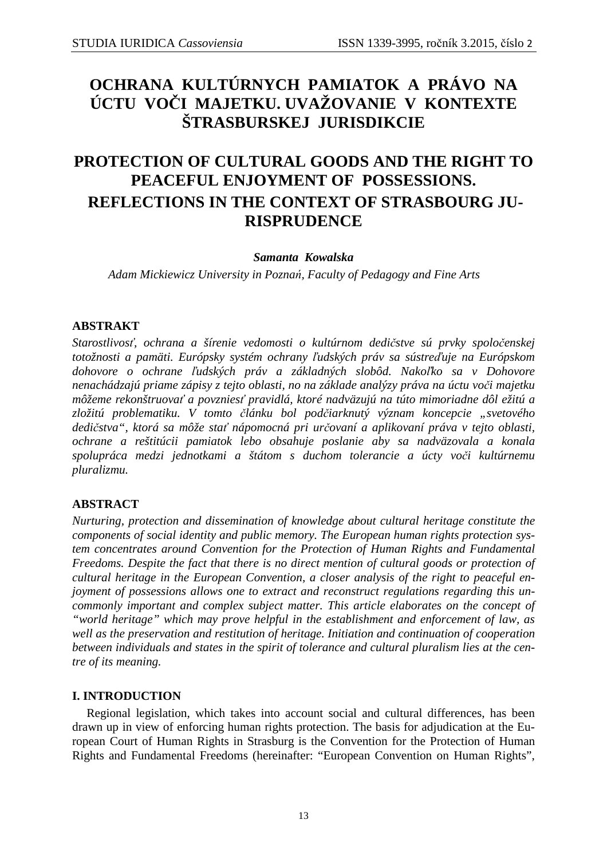# **OCHRANA KULTÚRNYCH PAMIATOK A PRÁVO NA ÚCTU VOČI MAJETKU. UVAŽOVANIE V KONTEXTE ŠTRASBURSKEJ JURISDIKCIE**

# **PROTECTION OF CULTURAL GOODS AND THE RIGHT TO PEACEFUL ENJOYMENT OF POSSESSIONS. REFLECTIONS IN THE CONTEXT OF STRASBOURG JU-RISPRUDENCE**

## *Samanta Kowalska*

*Adam Mickiewicz University in Poznań, Faculty of Pedagogy and Fine Arts* 

## **ABSTRAKT**

*Starostlivosť, ochrana a šírenie vedomosti o kultúrnom dedičstve sú prvky spoločenskej totožnosti a pamäti. Európsky systém ochrany ľudských práv sa sústreďuje na Európskom dohovore o ochrane ľudských práv a základných slobôd. Nakoľko sa v Dohovore nenachádzajú priame zápisy z tejto oblasti, no na základe analýzy práva na úctu voči majetku môžeme rekonštruovať a povzniesť pravidlá, ktoré nadväzujú na túto mimoriadne dôl ežitú a*  zložitú problematiku. V tomto článku bol podčiarknutý význam koncepcie "svetového *dedičstva", ktorá sa môže stať nápomocná pri určovaní a aplikovaní práva v tejto oblasti, ochrane a reštitúcii pamiatok lebo obsahuje poslanie aby sa nadväzovala a konala spolupráca medzi jednotkami a štátom s duchom tolerancie a úcty voči kultúrnemu pluralizmu.* 

## **ABSTRACT**

*Nurturing, protection and dissemination of knowledge about cultural heritage constitute the components of social identity and public memory. The European human rights protection system concentrates around Convention for the Protection of Human Rights and Fundamental Freedoms. Despite the fact that there is no direct mention of cultural goods or protection of cultural heritage in the European Convention, a closer analysis of the right to peaceful enjoyment of possessions allows one to extract and reconstruct regulations regarding this uncommonly important and complex subject matter. This article elaborates on the concept of "world heritage" which may prove helpful in the establishment and enforcement of law, as well as the preservation and restitution of heritage. Initiation and continuation of cooperation between individuals and states in the spirit of tolerance and cultural pluralism lies at the centre of its meaning.* 

# **I. INTRODUCTION**

Regional legislation, which takes into account social and cultural differences, has been drawn up in view of enforcing human rights protection. The basis for adjudication at the European Court of Human Rights in Strasburg is the Convention for the Protection of Human Rights and Fundamental Freedoms (hereinafter: "European Convention on Human Rights",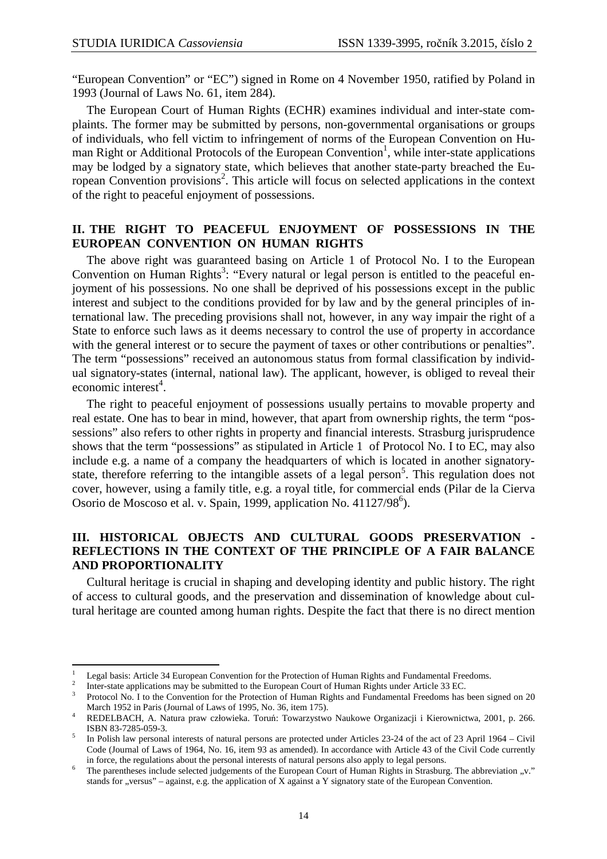"European Convention" or "EC") signed in Rome on 4 November 1950, ratified by Poland in 1993 (Journal of Laws No. 61, item 284).

The European Court of Human Rights (ECHR) examines individual and inter-state complaints. The former may be submitted by persons, non-governmental organisations or groups of individuals, who fell victim to infringement of norms of the European Convention on Human Right or Additional Protocols of the European Convention<sup>1</sup>, while inter-state applications may be lodged by a signatory state, which believes that another state-party breached the European Convention provisions<sup>2</sup>. This article will focus on selected applications in the context of the right to peaceful enjoyment of possessions.

## **II. THE RIGHT TO PEACEFUL ENJOYMENT OF POSSESSIONS IN THE EUROPEAN CONVENTION ON HUMAN RIGHTS**

The above right was guaranteed basing on Article 1 of Protocol No. I to the European Convention on Human Rights<sup>3</sup>: "Every natural or legal person is entitled to the peaceful enjoyment of his possessions. No one shall be deprived of his possessions except in the public interest and subject to the conditions provided for by law and by the general principles of international law. The preceding provisions shall not, however, in any way impair the right of a State to enforce such laws as it deems necessary to control the use of property in accordance with the general interest or to secure the payment of taxes or other contributions or penalties". The term "possessions" received an autonomous status from formal classification by individual signatory-states (internal, national law). The applicant, however, is obliged to reveal their  $e$ conomic interest<sup>4</sup>.

The right to peaceful enjoyment of possessions usually pertains to movable property and real estate. One has to bear in mind, however, that apart from ownership rights, the term "possessions" also refers to other rights in property and financial interests. Strasburg jurisprudence shows that the term "possessions" as stipulated in Article 1 of Protocol No. I to EC, may also include e.g. a name of a company the headquarters of which is located in another signatorystate, therefore referring to the intangible assets of a legal person<sup>5</sup>. This regulation does not cover, however, using a family title, e.g. a royal title, for commercial ends (Pilar de la Cierva Osorio de Moscoso et al. v. Spain, 1999, application No. 41127/98<sup>6</sup>).

## **III. HISTORICAL OBJECTS AND CULTURAL GOODS PRESERVATION - REFLECTIONS IN THE CONTEXT OF THE PRINCIPLE OF A FAIR BALANCE AND PROPORTIONALITY**

Cultural heritage is crucial in shaping and developing identity and public history. The right of access to cultural goods, and the preservation and dissemination of knowledge about cultural heritage are counted among human rights. Despite the fact that there is no direct mention

 $\overline{a}$ 

<sup>1</sup> Legal basis: Article 34 European Convention for the Protection of Human Rights and Fundamental Freedoms.

<sup>2</sup> Inter-state applications may be submitted to the European Court of Human Rights under Article 33 EC.

<sup>3</sup> Protocol No. I to the Convention for the Protection of Human Rights and Fundamental Freedoms has been signed on 20 March 1952 in Paris (Journal of Laws of 1995, No. 36, item 175).

<sup>4</sup> REDELBACH, A. Natura praw człowieka. Toruń: Towarzystwo Naukowe Organizacji i Kierownictwa, 2001, p. 266. ISBN 83-7285-059-3.

<sup>5</sup> In Polish law personal interests of natural persons are protected under Articles 23-24 of the act of 23 April 1964 – Civil Code (Journal of Laws of 1964, No. 16, item 93 as amended). In accordance with Article 43 of the Civil Code currently in force, the regulations about the personal interests of natural persons also apply to legal persons.

<sup>6</sup> The parentheses include selected judgements of the European Court of Human Rights in Strasburg. The abbreviation "v." stands for "versus" – against, e.g. the application of X against a Y signatory state of the European Convention.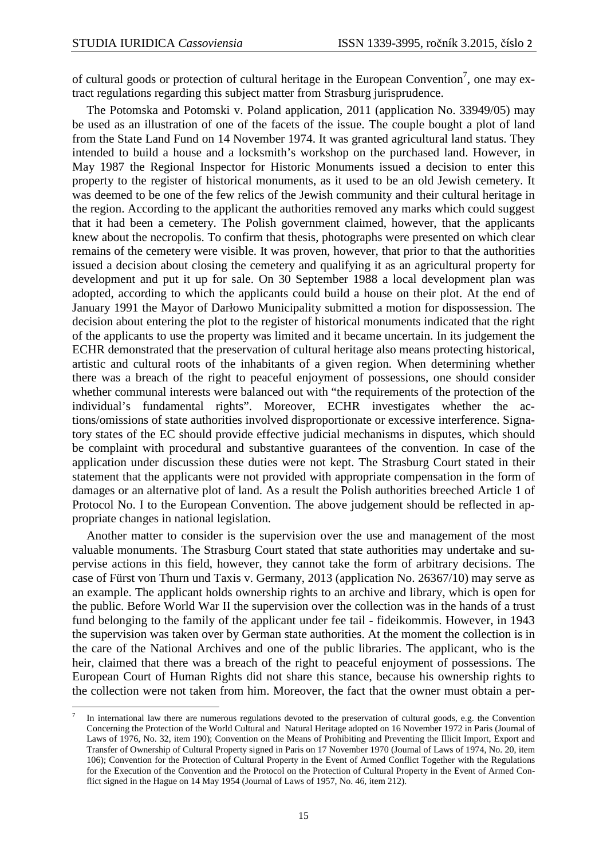l

of cultural goods or protection of cultural heritage in the European Convention<sup>7</sup>, one may extract regulations regarding this subject matter from Strasburg jurisprudence.

The Potomska and Potomski v. Poland application, 2011 (application No. 33949/05) may be used as an illustration of one of the facets of the issue. The couple bought a plot of land from the State Land Fund on 14 November 1974. It was granted agricultural land status. They intended to build a house and a locksmith's workshop on the purchased land. However, in May 1987 the Regional Inspector for Historic Monuments issued a decision to enter this property to the register of historical monuments, as it used to be an old Jewish cemetery. It was deemed to be one of the few relics of the Jewish community and their cultural heritage in the region. According to the applicant the authorities removed any marks which could suggest that it had been a cemetery. The Polish government claimed, however, that the applicants knew about the necropolis. To confirm that thesis, photographs were presented on which clear remains of the cemetery were visible. It was proven, however, that prior to that the authorities issued a decision about closing the cemetery and qualifying it as an agricultural property for development and put it up for sale. On 30 September 1988 a local development plan was adopted, according to which the applicants could build a house on their plot. At the end of January 1991 the Mayor of Darłowo Municipality submitted a motion for dispossession. The decision about entering the plot to the register of historical monuments indicated that the right of the applicants to use the property was limited and it became uncertain. In its judgement the ECHR demonstrated that the preservation of cultural heritage also means protecting historical, artistic and cultural roots of the inhabitants of a given region. When determining whether there was a breach of the right to peaceful enjoyment of possessions, one should consider whether communal interests were balanced out with "the requirements of the protection of the individual's fundamental rights". Moreover, ECHR investigates whether the actions/omissions of state authorities involved disproportionate or excessive interference. Signatory states of the EC should provide effective judicial mechanisms in disputes, which should be complaint with procedural and substantive guarantees of the convention. In case of the application under discussion these duties were not kept. The Strasburg Court stated in their statement that the applicants were not provided with appropriate compensation in the form of damages or an alternative plot of land. As a result the Polish authorities breeched Article 1 of Protocol No. I to the European Convention. The above judgement should be reflected in appropriate changes in national legislation.

Another matter to consider is the supervision over the use and management of the most valuable monuments. The Strasburg Court stated that state authorities may undertake and supervise actions in this field, however, they cannot take the form of arbitrary decisions. The case of Fürst von Thurn und Taxis v. Germany, 2013 (application No. 26367/10) may serve as an example. The applicant holds ownership rights to an archive and library, which is open for the public. Before World War II the supervision over the collection was in the hands of a trust fund belonging to the family of the applicant under fee tail - fideikommis. However, in 1943 the supervision was taken over by German state authorities. At the moment the collection is in the care of the National Archives and one of the public libraries. The applicant, who is the heir, claimed that there was a breach of the right to peaceful enjoyment of possessions. The European Court of Human Rights did not share this stance, because his ownership rights to the collection were not taken from him. Moreover, the fact that the owner must obtain a per-

<sup>7</sup> In international law there are numerous regulations devoted to the preservation of cultural goods, e.g. the Convention Concerning the Protection of the World Cultural and Natural Heritage adopted on 16 November 1972 in Paris (Journal of Laws of 1976, No. 32, item 190); Convention on the Means of Prohibiting and Preventing the Illicit Import, Export and Transfer of Ownership of Cultural Property signed in Paris on 17 November 1970 (Journal of Laws of 1974, No. 20, item 106); Convention for the Protection of Cultural Property in the Event of Armed Conflict Together with the Regulations for the Execution of the Convention and the Protocol on the Protection of Cultural Property in the Event of Armed Conflict signed in the Hague on 14 May 1954 (Journal of Laws of 1957, No. 46, item 212).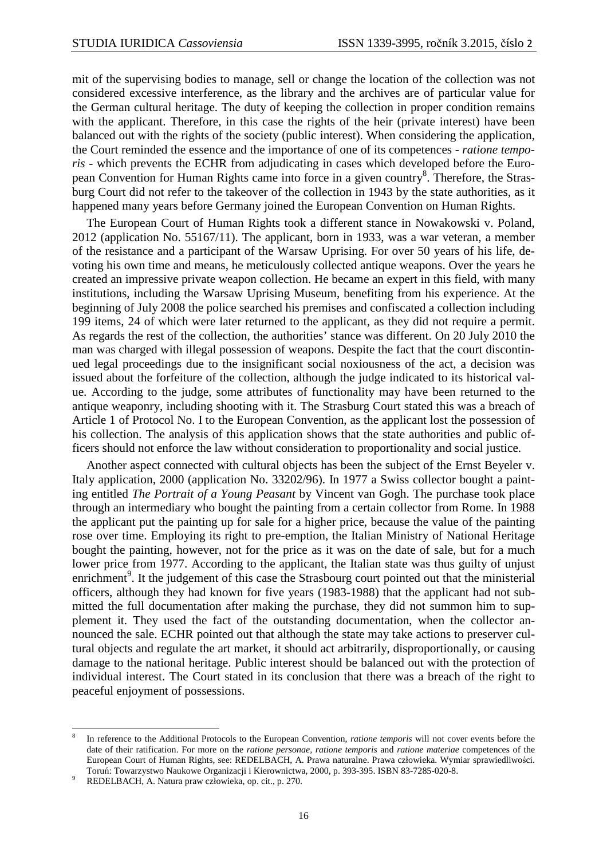mit of the supervising bodies to manage, sell or change the location of the collection was not considered excessive interference, as the library and the archives are of particular value for the German cultural heritage. The duty of keeping the collection in proper condition remains with the applicant. Therefore, in this case the rights of the heir (private interest) have been balanced out with the rights of the society (public interest). When considering the application, the Court reminded the essence and the importance of one of its competences - *ratione temporis* - which prevents the ECHR from adjudicating in cases which developed before the European Convention for Human Rights came into force in a given country<sup>8</sup>. Therefore, the Strasburg Court did not refer to the takeover of the collection in 1943 by the state authorities, as it happened many years before Germany joined the European Convention on Human Rights.

The European Court of Human Rights took a different stance in Nowakowski v. Poland, 2012 (application No. 55167/11). The applicant, born in 1933, was a war veteran, a member of the resistance and a participant of the Warsaw Uprising. For over 50 years of his life, devoting his own time and means, he meticulously collected antique weapons. Over the years he created an impressive private weapon collection. He became an expert in this field, with many institutions, including the Warsaw Uprising Museum, benefiting from his experience. At the beginning of July 2008 the police searched his premises and confiscated a collection including 199 items, 24 of which were later returned to the applicant, as they did not require a permit. As regards the rest of the collection, the authorities' stance was different. On 20 July 2010 the man was charged with illegal possession of weapons. Despite the fact that the court discontinued legal proceedings due to the insignificant social noxiousness of the act, a decision was issued about the forfeiture of the collection, although the judge indicated to its historical value. According to the judge, some attributes of functionality may have been returned to the antique weaponry, including shooting with it. The Strasburg Court stated this was a breach of Article 1 of Protocol No. I to the European Convention, as the applicant lost the possession of his collection. The analysis of this application shows that the state authorities and public officers should not enforce the law without consideration to proportionality and social justice.

Another aspect connected with cultural objects has been the subject of the Ernst Beyeler v. Italy application, 2000 (application No. 33202/96). In 1977 a Swiss collector bought a painting entitled *The Portrait of a Young Peasant* by Vincent van Gogh. The purchase took place through an intermediary who bought the painting from a certain collector from Rome. In 1988 the applicant put the painting up for sale for a higher price, because the value of the painting rose over time. Employing its right to pre-emption, the Italian Ministry of National Heritage bought the painting, however, not for the price as it was on the date of sale, but for a much lower price from 1977. According to the applicant, the Italian state was thus guilty of unjust enrichment<sup>9</sup>. It the judgement of this case the Strasbourg court pointed out that the ministerial officers, although they had known for five years (1983-1988) that the applicant had not submitted the full documentation after making the purchase, they did not summon him to supplement it. They used the fact of the outstanding documentation, when the collector announced the sale. ECHR pointed out that although the state may take actions to preserver cultural objects and regulate the art market, it should act arbitrarily, disproportionally, or causing damage to the national heritage. Public interest should be balanced out with the protection of individual interest. The Court stated in its conclusion that there was a breach of the right to peaceful enjoyment of possessions.

l

<sup>8</sup> In reference to the Additional Protocols to the European Convention, *ratione temporis* will not cover events before the date of their ratification. For more on the *ratione personae, ratione temporis* and *ratione materiae* competences of the European Court of Human Rights, see: REDELBACH, A. Prawa naturalne. Prawa człowieka. Wymiar sprawiedliwości. Toruń: Towarzystwo Naukowe Organizacji i Kierownictwa, 2000, p. 393-395. ISBN 83-7285-020-8.

<sup>9</sup> REDELBACH, A. Natura praw człowieka, op. cit., p. 270.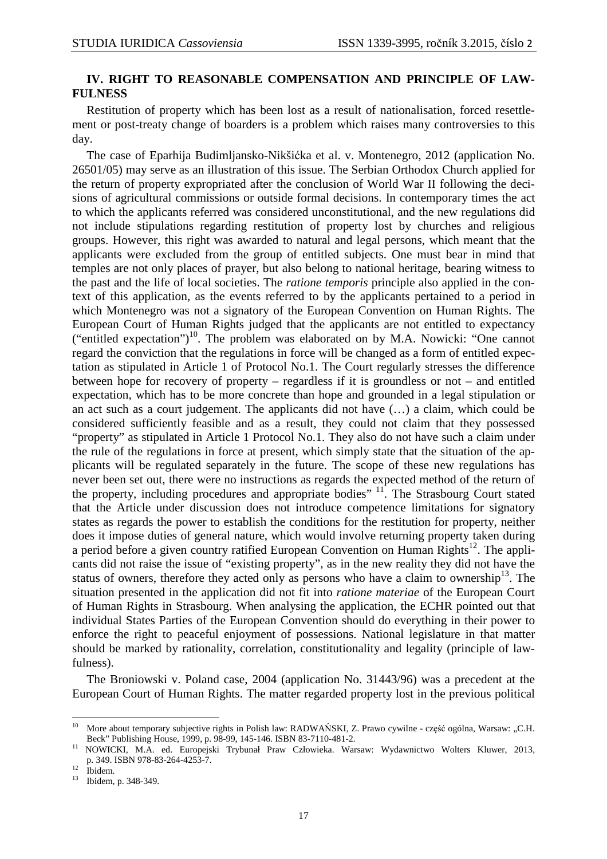## **IV. RIGHT TO REASONABLE COMPENSATION AND PRINCIPLE OF LAW-FULNESS**

Restitution of property which has been lost as a result of nationalisation, forced resettlement or post-treaty change of boarders is a problem which raises many controversies to this day.

The case of Eparhija Budimljansko-Nikšićka et al. v. Montenegro, 2012 (application No. 26501/05) may serve as an illustration of this issue. The Serbian Orthodox Church applied for the return of property expropriated after the conclusion of World War II following the decisions of agricultural commissions or outside formal decisions. In contemporary times the act to which the applicants referred was considered unconstitutional, and the new regulations did not include stipulations regarding restitution of property lost by churches and religious groups. However, this right was awarded to natural and legal persons, which meant that the applicants were excluded from the group of entitled subjects. One must bear in mind that temples are not only places of prayer, but also belong to national heritage, bearing witness to the past and the life of local societies. The *ratione temporis* principle also applied in the context of this application, as the events referred to by the applicants pertained to a period in which Montenegro was not a signatory of the European Convention on Human Rights. The European Court of Human Rights judged that the applicants are not entitled to expectancy  $("entitled expectation")$ <sup>10</sup>. The problem was elaborated on by M.A. Nowicki: "One cannot regard the conviction that the regulations in force will be changed as a form of entitled expectation as stipulated in Article 1 of Protocol No.1. The Court regularly stresses the difference between hope for recovery of property – regardless if it is groundless or not – and entitled expectation, which has to be more concrete than hope and grounded in a legal stipulation or an act such as a court judgement. The applicants did not have (…) a claim, which could be considered sufficiently feasible and as a result, they could not claim that they possessed "property" as stipulated in Article 1 Protocol No.1. They also do not have such a claim under the rule of the regulations in force at present, which simply state that the situation of the applicants will be regulated separately in the future. The scope of these new regulations has never been set out, there were no instructions as regards the expected method of the return of the property, including procedures and appropriate bodies"  $11$ . The Strasbourg Court stated that the Article under discussion does not introduce competence limitations for signatory states as regards the power to establish the conditions for the restitution for property, neither does it impose duties of general nature, which would involve returning property taken during a period before a given country ratified European Convention on Human Rights<sup>12</sup>. The applicants did not raise the issue of "existing property", as in the new reality they did not have the status of owners, therefore they acted only as persons who have a claim to ownership<sup>13</sup>. The situation presented in the application did not fit into *ratione materiae* of the European Court of Human Rights in Strasbourg. When analysing the application, the ECHR pointed out that individual States Parties of the European Convention should do everything in their power to enforce the right to peaceful enjoyment of possessions. National legislature in that matter should be marked by rationality, correlation, constitutionality and legality (principle of lawfulness).

The Broniowski v. Poland case, 2004 (application No. 31443/96) was a precedent at the European Court of Human Rights. The matter regarded property lost in the previous political

 $\overline{a}$ 

<sup>&</sup>lt;sup>10</sup> More about temporary subjective rights in Polish law: RADWAŃSKI, Z. Prawo cywilne - część ogólna, Warsaw: "C.H. Beck" Publishing House, 1999, p. 98-99, 145-146. ISBN 83-7110-481-2.

<sup>11</sup> NOWICKI, M.A. ed. Europejski Trybunał Praw Człowieka. Warsaw: Wydawnictwo Wolters Kluwer, 2013, p. 349. ISBN 978-83-264-4253-7.

 $12 \text{lbidem.}$ 

<sup>13</sup> Ibidem, p. 348-349.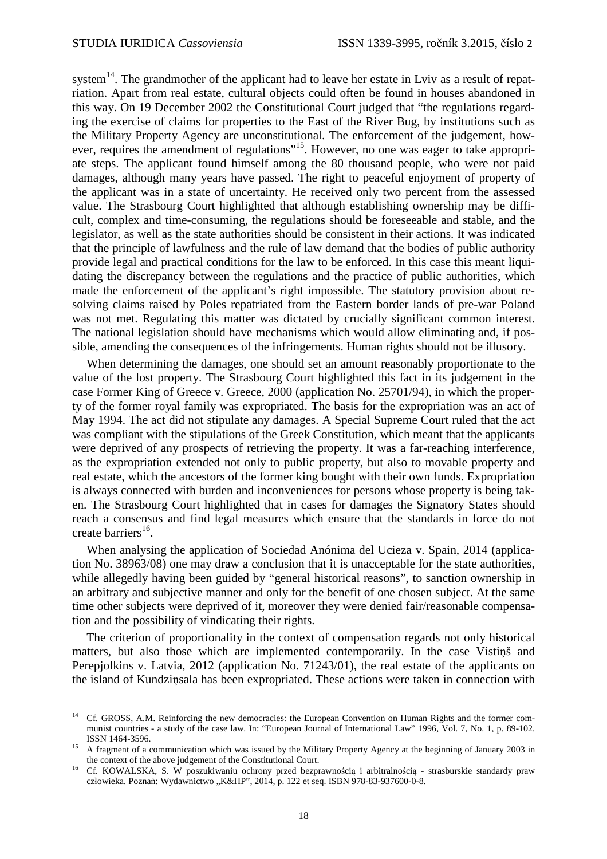l

system<sup>14</sup>. The grandmother of the applicant had to leave her estate in Lviv as a result of repatriation. Apart from real estate, cultural objects could often be found in houses abandoned in this way. On 19 December 2002 the Constitutional Court judged that "the regulations regarding the exercise of claims for properties to the East of the River Bug, by institutions such as the Military Property Agency are unconstitutional. The enforcement of the judgement, however, requires the amendment of regulations"<sup>15</sup>. However, no one was eager to take appropriate steps. The applicant found himself among the 80 thousand people, who were not paid damages, although many years have passed. The right to peaceful enjoyment of property of the applicant was in a state of uncertainty. He received only two percent from the assessed value. The Strasbourg Court highlighted that although establishing ownership may be difficult, complex and time-consuming, the regulations should be foreseeable and stable, and the legislator, as well as the state authorities should be consistent in their actions. It was indicated that the principle of lawfulness and the rule of law demand that the bodies of public authority provide legal and practical conditions for the law to be enforced. In this case this meant liquidating the discrepancy between the regulations and the practice of public authorities, which made the enforcement of the applicant's right impossible. The statutory provision about resolving claims raised by Poles repatriated from the Eastern border lands of pre-war Poland was not met. Regulating this matter was dictated by crucially significant common interest. The national legislation should have mechanisms which would allow eliminating and, if possible, amending the consequences of the infringements. Human rights should not be illusory.

When determining the damages, one should set an amount reasonably proportionate to the value of the lost property. The Strasbourg Court highlighted this fact in its judgement in the case Former King of Greece v. Greece, 2000 (application No. 25701/94), in which the property of the former royal family was expropriated. The basis for the expropriation was an act of May 1994. The act did not stipulate any damages. A Special Supreme Court ruled that the act was compliant with the stipulations of the Greek Constitution, which meant that the applicants were deprived of any prospects of retrieving the property. It was a far-reaching interference, as the expropriation extended not only to public property, but also to movable property and real estate, which the ancestors of the former king bought with their own funds. Expropriation is always connected with burden and inconveniences for persons whose property is being taken. The Strasbourg Court highlighted that in cases for damages the Signatory States should reach a consensus and find legal measures which ensure that the standards in force do not create barriers<sup>16</sup>.

When analysing the application of Sociedad Anónima del Ucieza v. Spain, 2014 (application No. 38963/08) one may draw a conclusion that it is unacceptable for the state authorities, while allegedly having been guided by "general historical reasons", to sanction ownership in an arbitrary and subjective manner and only for the benefit of one chosen subject. At the same time other subjects were deprived of it, moreover they were denied fair/reasonable compensation and the possibility of vindicating their rights.

The criterion of proportionality in the context of compensation regards not only historical matters, but also those which are implemented contemporarily. In the case Vistiņš and Perepjolkins v. Latvia, 2012 (application No. 71243/01), the real estate of the applicants on the island of Kundziņsala has been expropriated. These actions were taken in connection with

<sup>&</sup>lt;sup>14</sup> Cf. GROSS, A.M. Reinforcing the new democracies: the European Convention on Human Rights and the former communist countries - a study of the case law. In: "European Journal of International Law" 1996, Vol. 7, No. 1, p. 89-102. ISSN 1464-3596.

<sup>15</sup> A fragment of a communication which was issued by the Military Property Agency at the beginning of January 2003 in the context of the above judgement of the Constitutional Court.

<sup>16</sup> Cf. KOWALSKA, S. W poszukiwaniu ochrony przed bezprawnością i arbitralnością - strasburskie standardy praw człowieka. Poznań: Wydawnictwo "K&HP", 2014, p. 122 et seq. ISBN 978-83-937600-0-8.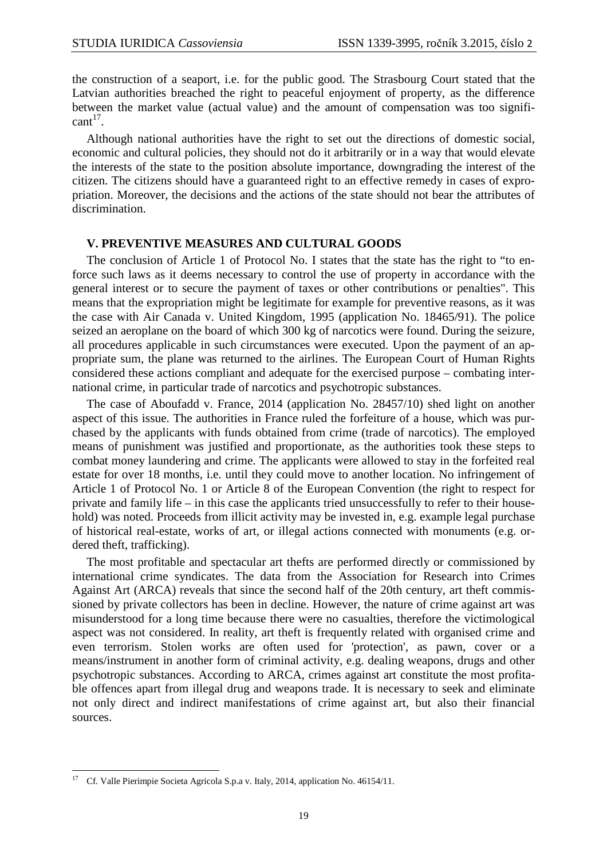the construction of a seaport, i.e. for the public good. The Strasbourg Court stated that the Latvian authorities breached the right to peaceful enjoyment of property, as the difference between the market value (actual value) and the amount of compensation was too signifi $cant<sup>17</sup>$ .

Although national authorities have the right to set out the directions of domestic social, economic and cultural policies, they should not do it arbitrarily or in a way that would elevate the interests of the state to the position absolute importance, downgrading the interest of the citizen. The citizens should have a guaranteed right to an effective remedy in cases of expropriation. Moreover, the decisions and the actions of the state should not bear the attributes of discrimination.

#### **V. PREVENTIVE MEASURES AND CULTURAL GOODS**

The conclusion of Article 1 of Protocol No. I states that the state has the right to "to enforce such laws as it deems necessary to control the use of property in accordance with the general interest or to secure the payment of taxes or other contributions or penalties". This means that the expropriation might be legitimate for example for preventive reasons, as it was the case with Air Canada v. United Kingdom, 1995 (application No. 18465/91). The police seized an aeroplane on the board of which 300 kg of narcotics were found. During the seizure, all procedures applicable in such circumstances were executed. Upon the payment of an appropriate sum, the plane was returned to the airlines. The European Court of Human Rights considered these actions compliant and adequate for the exercised purpose – combating international crime, in particular trade of narcotics and psychotropic substances.

The case of Aboufadd v. France, 2014 (application No. 28457/10) shed light on another aspect of this issue. The authorities in France ruled the forfeiture of a house, which was purchased by the applicants with funds obtained from crime (trade of narcotics). The employed means of punishment was justified and proportionate, as the authorities took these steps to combat money laundering and crime. The applicants were allowed to stay in the forfeited real estate for over 18 months, i.e. until they could move to another location. No infringement of Article 1 of Protocol No. 1 or Article 8 of the European Convention (the right to respect for private and family life – in this case the applicants tried unsuccessfully to refer to their household) was noted. Proceeds from illicit activity may be invested in, e.g. example legal purchase of historical real-estate, works of art, or illegal actions connected with monuments (e.g. ordered theft, trafficking).

The most profitable and spectacular art thefts are performed directly or commissioned by international crime syndicates. The data from the Association for Research into Crimes Against Art (ARCA) reveals that since the second half of the 20th century, art theft commissioned by private collectors has been in decline. However, the nature of crime against art was misunderstood for a long time because there were no casualties, therefore the victimological aspect was not considered. In reality, art theft is frequently related with organised crime and even terrorism. Stolen works are often used for 'protection', as pawn, cover or a means/instrument in another form of criminal activity, e.g. dealing weapons, drugs and other psychotropic substances. According to ARCA, crimes against art constitute the most profitable offences apart from illegal drug and weapons trade. It is necessary to seek and eliminate not only direct and indirect manifestations of crime against art, but also their financial sources.

 $\overline{a}$ 

<sup>&</sup>lt;sup>17</sup> Cf. Valle Pierimpie Societa Agricola S.p.a v. Italy, 2014, application No. 46154/11.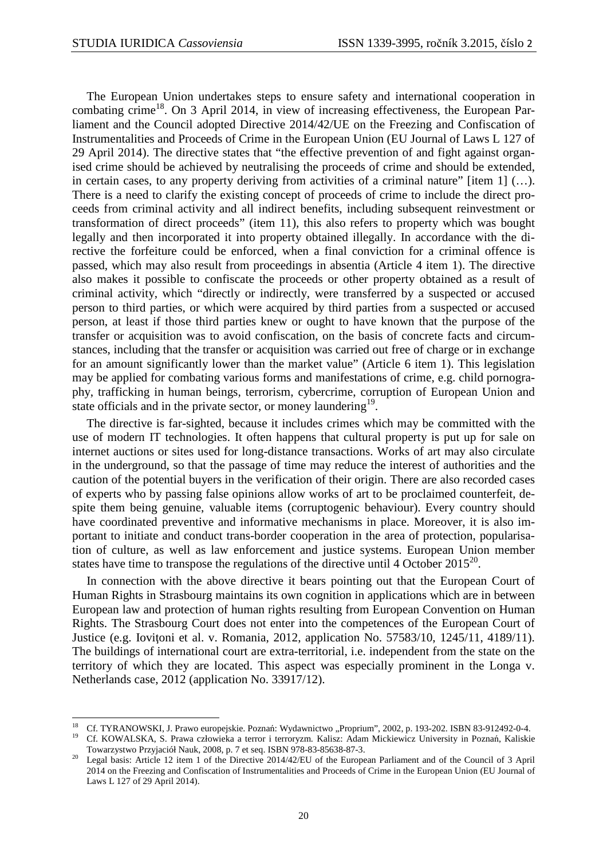$\overline{a}$ 

The European Union undertakes steps to ensure safety and international cooperation in combating crime<sup>18</sup>. On 3 April 2014, in view of increasing effectiveness, the European Parliament and the Council adopted Directive 2014/42/UE on the Freezing and Confiscation of Instrumentalities and Proceeds of Crime in the European Union (EU Journal of Laws L 127 of 29 April 2014). The directive states that "the effective prevention of and fight against organised crime should be achieved by neutralising the proceeds of crime and should be extended, in certain cases, to any property deriving from activities of a criminal nature" [item 1] (…). There is a need to clarify the existing concept of proceeds of crime to include the direct proceeds from criminal activity and all indirect benefits, including subsequent reinvestment or transformation of direct proceeds" (item 11), this also refers to property which was bought legally and then incorporated it into property obtained illegally. In accordance with the directive the forfeiture could be enforced, when a final conviction for a criminal offence is passed, which may also result from proceedings in absentia (Article 4 item 1). The directive also makes it possible to confiscate the proceeds or other property obtained as a result of criminal activity, which "directly or indirectly, were transferred by a suspected or accused person to third parties, or which were acquired by third parties from a suspected or accused person, at least if those third parties knew or ought to have known that the purpose of the transfer or acquisition was to avoid confiscation, on the basis of concrete facts and circumstances, including that the transfer or acquisition was carried out free of charge or in exchange for an amount significantly lower than the market value" (Article 6 item 1). This legislation may be applied for combating various forms and manifestations of crime, e.g. child pornography, trafficking in human beings, terrorism, cybercrime, corruption of European Union and state officials and in the private sector, or money laundering<sup>19</sup>.

The directive is far-sighted, because it includes crimes which may be committed with the use of modern IT technologies. It often happens that cultural property is put up for sale on internet auctions or sites used for long-distance transactions. Works of art may also circulate in the underground, so that the passage of time may reduce the interest of authorities and the caution of the potential buyers in the verification of their origin. There are also recorded cases of experts who by passing false opinions allow works of art to be proclaimed counterfeit, despite them being genuine, valuable items (corruptogenic behaviour). Every country should have coordinated preventive and informative mechanisms in place. Moreover, it is also important to initiate and conduct trans-border cooperation in the area of protection, popularisation of culture, as well as law enforcement and justice systems. European Union member states have time to transpose the regulations of the directive until 4 October 2015<sup>20</sup>.

In connection with the above directive it bears pointing out that the European Court of Human Rights in Strasbourg maintains its own cognition in applications which are in between European law and protection of human rights resulting from European Convention on Human Rights. The Strasbourg Court does not enter into the competences of the European Court of Justice (e.g. Ioviţoni et al. v. Romania, 2012, application No. 57583/10, 1245/11, 4189/11). The buildings of international court are extra-territorial, i.e. independent from the state on the territory of which they are located. This aspect was especially prominent in the Longa v. Netherlands case, 2012 (application No. 33917/12).

<sup>&</sup>lt;sup>18</sup> Cf. TYRANOWSKI, J. Prawo europejskie. Poznań: Wydawnictwo "Proprium", 2002, p. 193-202. ISBN 83-912492-0-4.

<sup>19</sup> Cf. KOWALSKA, S. Prawa człowieka a terror i terroryzm. Kalisz: Adam Mickiewicz University in Poznań, Kaliskie Towarzystwo Przyjaciół Nauk, 2008, p. 7 et seq. ISBN 978-83-85638-87-3.

<sup>&</sup>lt;sup>20</sup> Legal basis: Article 12 item 1 of the Directive 2014/42/EU of the European Parliament and of the Council of 3 April 2014 on the Freezing and Confiscation of Instrumentalities and Proceeds of Crime in the European Union (EU Journal of Laws L 127 of 29 April 2014).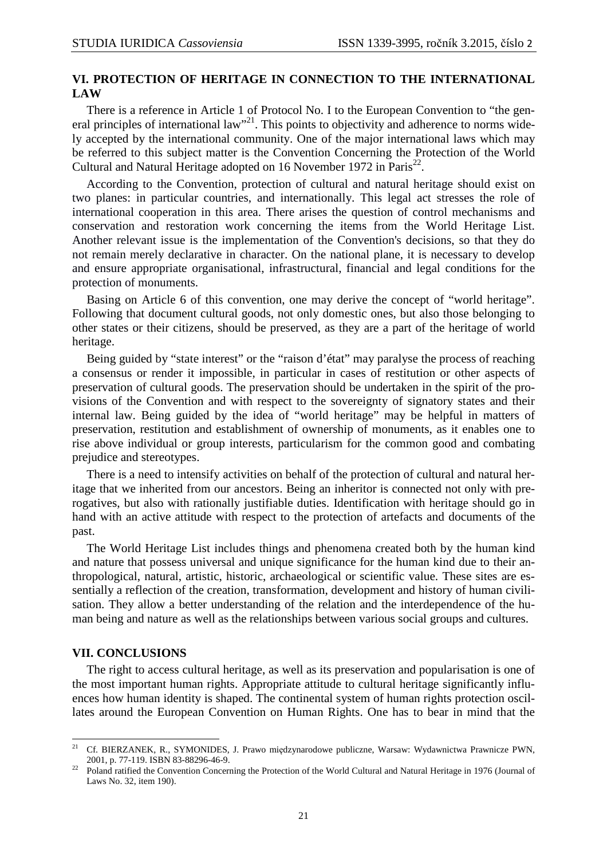## **VI. PROTECTION OF HERITAGE IN CONNECTION TO THE INTERNATIONAL LAW**

There is a reference in Article 1 of Protocol No. I to the European Convention to "the general principles of international law"<sup>21</sup>. This points to objectivity and adherence to norms widely accepted by the international community. One of the major international laws which may be referred to this subject matter is the Convention Concerning the Protection of the World Cultural and Natural Heritage adopted on 16 November 1972 in Paris<sup>22</sup>.

According to the Convention, protection of cultural and natural heritage should exist on two planes: in particular countries, and internationally. This legal act stresses the role of international cooperation in this area. There arises the question of control mechanisms and conservation and restoration work concerning the items from the World Heritage List. Another relevant issue is the implementation of the Convention's decisions, so that they do not remain merely declarative in character. On the national plane, it is necessary to develop and ensure appropriate organisational, infrastructural, financial and legal conditions for the protection of monuments.

Basing on Article 6 of this convention, one may derive the concept of "world heritage". Following that document cultural goods, not only domestic ones, but also those belonging to other states or their citizens, should be preserved, as they are a part of the heritage of world heritage.

Being guided by "state interest" or the "raison d'état" may paralyse the process of reaching a consensus or render it impossible, in particular in cases of restitution or other aspects of preservation of cultural goods. The preservation should be undertaken in the spirit of the provisions of the Convention and with respect to the sovereignty of signatory states and their internal law. Being guided by the idea of "world heritage" may be helpful in matters of preservation, restitution and establishment of ownership of monuments, as it enables one to rise above individual or group interests, particularism for the common good and combating prejudice and stereotypes.

There is a need to intensify activities on behalf of the protection of cultural and natural heritage that we inherited from our ancestors. Being an inheritor is connected not only with prerogatives, but also with rationally justifiable duties. Identification with heritage should go in hand with an active attitude with respect to the protection of artefacts and documents of the past.

The World Heritage List includes things and phenomena created both by the human kind and nature that possess universal and unique significance for the human kind due to their anthropological, natural, artistic, historic, archaeological or scientific value. These sites are essentially a reflection of the creation, transformation, development and history of human civilisation. They allow a better understanding of the relation and the interdependence of the human being and nature as well as the relationships between various social groups and cultures.

#### **VII. CONCLUSIONS**

l

The right to access cultural heritage, as well as its preservation and popularisation is one of the most important human rights. Appropriate attitude to cultural heritage significantly influences how human identity is shaped. The continental system of human rights protection oscillates around the European Convention on Human Rights. One has to bear in mind that the

<sup>&</sup>lt;sup>21</sup> Cf. BIERZANEK, R., SYMONIDES, J. Prawo międzynarodowe publiczne, Warsaw: Wydawnictwa Prawnicze PWN, 2001, p. 77-119. ISBN 83-88296-46-9.

<sup>22</sup> Poland ratified the Convention Concerning the Protection of the World Cultural and Natural Heritage in 1976 (Journal of Laws No. 32, item 190).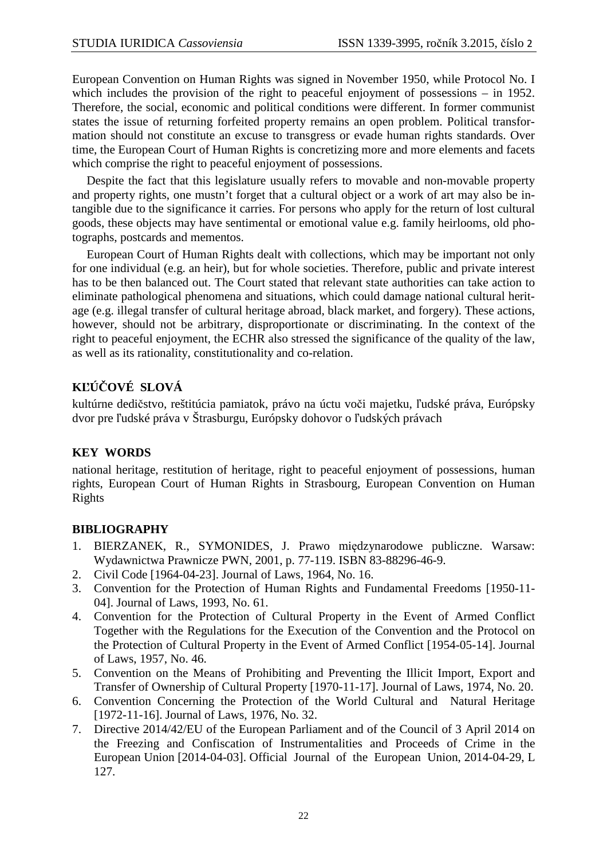European Convention on Human Rights was signed in November 1950, while Protocol No. I which includes the provision of the right to peaceful enjoyment of possessions – in 1952. Therefore, the social, economic and political conditions were different. In former communist states the issue of returning forfeited property remains an open problem. Political transformation should not constitute an excuse to transgress or evade human rights standards. Over time, the European Court of Human Rights is concretizing more and more elements and facets which comprise the right to peaceful enjoyment of possessions.

Despite the fact that this legislature usually refers to movable and non-movable property and property rights, one mustn't forget that a cultural object or a work of art may also be intangible due to the significance it carries. For persons who apply for the return of lost cultural goods, these objects may have sentimental or emotional value e.g. family heirlooms, old photographs, postcards and mementos.

European Court of Human Rights dealt with collections, which may be important not only for one individual (e.g. an heir), but for whole societies. Therefore, public and private interest has to be then balanced out. The Court stated that relevant state authorities can take action to eliminate pathological phenomena and situations, which could damage national cultural heritage (e.g. illegal transfer of cultural heritage abroad, black market, and forgery). These actions, however, should not be arbitrary, disproportionate or discriminating. In the context of the right to peaceful enjoyment, the ECHR also stressed the significance of the quality of the law, as well as its rationality, constitutionality and co-relation.

# **KĽÚČOVÉ SLOVÁ**

kultúrne dedičstvo, reštitúcia pamiatok, právo na úctu voči majetku, ľudské práva, Európsky dvor pre ľudské práva v Štrasburgu, Európsky dohovor o ľudských právach

# **KEY WORDS**

national heritage, restitution of heritage, right to peaceful enjoyment of possessions, human rights, European Court of Human Rights in Strasbourg, European Convention on Human Rights

# **BIBLIOGRAPHY**

- 1. BIERZANEK, R., SYMONIDES, J. Prawo międzynarodowe publiczne. Warsaw: Wydawnictwa Prawnicze PWN, 2001, p. 77-119. ISBN 83-88296-46-9.
- 2. Civil Code [1964-04-23]. Journal of Laws, 1964, No. 16.
- 3. Convention for the Protection of Human Rights and Fundamental Freedoms [1950-11- 04]. Journal of Laws, 1993, No. 61.
- 4. Convention for the Protection of Cultural Property in the Event of Armed Conflict Together with the Regulations for the Execution of the Convention and the Protocol on the Protection of Cultural Property in the Event of Armed Conflict [1954-05-14]. Journal of Laws, 1957, No. 46.
- 5. Convention on the Means of Prohibiting and Preventing the Illicit Import, Export and Transfer of Ownership of Cultural Property [1970-11-17]. Journal of Laws, 1974, No. 20.
- 6. Convention Concerning the Protection of the World Cultural and Natural Heritage [1972-11-16]. Journal of Laws, 1976, No. 32.
- 7. Directive 2014/42/EU of the European Parliament and of the Council of 3 April 2014 on the Freezing and Confiscation of Instrumentalities and Proceeds of Crime in the European Union [2014-04-03]. Official Journal of the European Union, 2014-04-29, L 127.